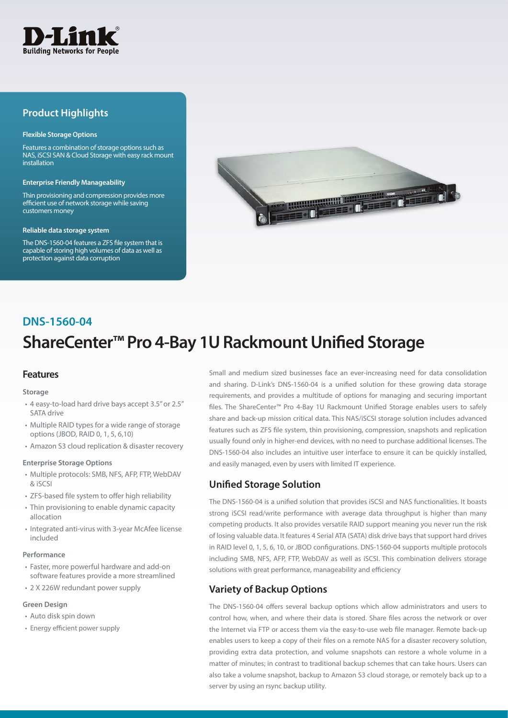

## **Product Highlights**

#### **Flexible Storage Options**

Features a combination of storage options such as NAS, iSCSI SAN & Cloud Storage with easy rack mount installation

#### **Enterprise Friendly Manageability**

Thin provisioning and compression provides more efficient use of network storage while saving customers money

#### **Reliable data storage system**

The DNS-1560-04 features a ZFS file system that is capable of storing high volumes of data as well as protection against data corruption



## **DNS-1560-04**

# **ShareCenter™ Pro 4-Bay 1U Rackmount Unified Storage**

### **Features**

#### **Storage**

- 4 easy-to-load hard drive bays accept 3.5" or 2.5" SATA drive
- Multiple RAID types for a wide range of storage options (JBOD, RAID 0, 1, 5, 6,10)
- Amazon S3 cloud replication & disaster recovery

### **Enterprise Storage Options**

- Multiple protocols: SMB, NFS, AFP, FTP, WebDAV & iSCSI
- ZFS-based file system to offer high reliability
- Thin provisioning to enable dynamic capacity allocation
- Integrated anti-virus with 3-year McAfee license included

#### **Performance**

- Faster, more powerful hardware and add-on software features provide a more streamlined
- 2 X 226W redundant power supply

#### **Green Design**

- Auto disk spin down
- Energy efficient power supply

Small and medium sized businesses face an ever-increasing need for data consolidation and sharing. D-Link's DNS-1560-04 is a unified solution for these growing data storage requirements, and provides a multitude of options for managing and securing important files. The ShareCenter™ Pro 4-Bay 1U Rackmount Unified Storage enables users to safely share and back-up mission critical data. This NAS/iSCSI storage solution includes advanced features such as ZFS file system, thin provisioning, compression, snapshots and replication usually found only in higher-end devices, with no need to purchase additional licenses. The DNS-1560-04 also includes an intuitive user interface to ensure it can be quickly installed, and easily managed, even by users with limited IT experience.

## **Unified Storage Solution**

The DNS-1560-04 is a unified solution that provides iSCSI and NAS functionalities. It boasts strong iSCSI read/write performance with average data throughput is higher than many competing products. It also provides versatile RAID support meaning you never run the risk of losing valuable data. It features 4 Serial ATA (SATA) disk drive bays that support hard drives in RAID level 0, 1, 5, 6, 10, or JBOD configurations. DNS-1560-04 supports multiple protocols including SMB, NFS, AFP, FTP, WebDAV as well as iSCSI. This combination delivers storage solutions with great performance, manageability and efficiency

## **Variety of Backup Options**

The DNS-1560-04 offers several backup options which allow administrators and users to control how, when, and where their data is stored. Share files across the network or over the Internet via FTP or access them via the easy-to-use web file manager. Remote back-up enables users to keep a copy of their files on a remote NAS for a disaster recovery solution, providing extra data protection, and volume snapshots can restore a whole volume in a matter of minutes; in contrast to traditional backup schemes that can take hours. Users can also take a volume snapshot, backup to Amazon S3 cloud storage, or remotely back up to a server by using an rsync backup utility.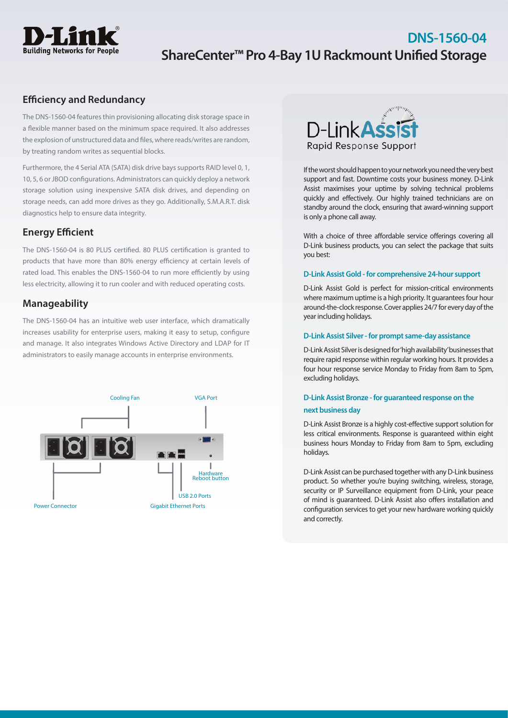

## **DNS-1560-04 ShareCenter™ Pro 4-Bay 1U Rackmount Unified Storage**

## **Efficiency and Redundancy**

The DNS-1560-04 features thin provisioning allocating disk storage space in a flexible manner based on the minimum space required. It also addresses the explosion of unstructured data and files, where reads/writes are random, by treating random writes as sequential blocks.

Furthermore, the 4 Serial ATA (SATA) disk drive bays supports RAID level 0, 1, 10, 5, 6 or JBOD configurations. Administrators can quickly deploy a network storage solution using inexpensive SATA disk drives, and depending on storage needs, can add more drives as they go. Additionally, S.M.A.R.T. disk diagnostics help to ensure data integrity.

## **Energy Efficient**

The DNS-1560-04 is 80 PLUS certified. 80 PLUS certification is granted to products that have more than 80% energy efficiency at certain levels of rated load. This enables the DNS-1560-04 to run more efficiently by using less electricity, allowing it to run cooler and with reduced operating costs.

## **Manageability**

The DNS-1560-04 has an intuitive web user interface, which dramatically increases usability for enterprise users, making it easy to setup, configure and manage. It also integrates Windows Active Directory and LDAP for IT administrators to easily manage accounts in enterprise environments.





If the worst should happen to your network you need the very best support and fast. Downtime costs your business money. D-Link Assist maximises your uptime by solving technical problems quickly and effectively. Our highly trained technicians are on standby around the clock, ensuring that award-winning support is only a phone call away.

With a choice of three affordable service offerings covering all D-Link business products, you can select the package that suits you best:

### **D-Link Assist Gold - for comprehensive 24-hour support**

D-Link Assist Gold is perfect for mission-critical environments where maximum uptime is a high priority. It guarantees four hour around-the-clock response. Cover applies 24/7 for every day of the year including holidays.

#### **D-Link Assist Silver - for prompt same-day assistance**

D-Link Assist Silver is designed for 'high availability' businesses that require rapid response within regular working hours. It provides a four hour response service Monday to Friday from 8am to 5pm, excluding holidays.

## **D-Link Assist Bronze - for guaranteed response on the next business day**

D-Link Assist Bronze is a highly cost-effective support solution for less critical environments. Response is guaranteed within eight business hours Monday to Friday from 8am to 5pm, excluding holidays.

D-Link Assist can be purchased together with any D-Link business product. So whether you're buying switching, wireless, storage, security or IP Surveillance equipment from D-Link, your peace of mind is guaranteed. D-Link Assist also offers installation and configuration services to get your new hardware working quickly and correctly.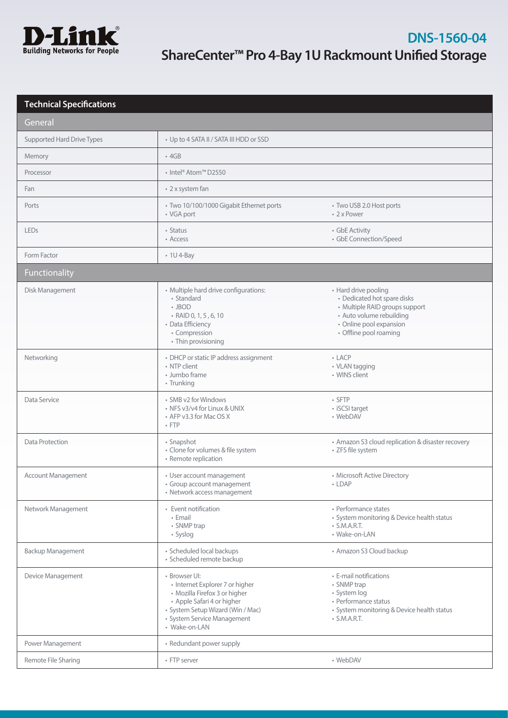

| <b>Technical Specifications</b> |                                                                                                                                                                                                      |                                                                                                                                                                        |
|---------------------------------|------------------------------------------------------------------------------------------------------------------------------------------------------------------------------------------------------|------------------------------------------------------------------------------------------------------------------------------------------------------------------------|
| General                         |                                                                                                                                                                                                      |                                                                                                                                                                        |
| Supported Hard Drive Types      | • Up to 4 SATA II / SATA III HDD or SSD                                                                                                                                                              |                                                                                                                                                                        |
| Memory                          | $-4GB$                                                                                                                                                                                               |                                                                                                                                                                        |
| Processor                       | • Intel® Atom™ D2550                                                                                                                                                                                 |                                                                                                                                                                        |
| Fan                             | • 2 x system fan                                                                                                                                                                                     |                                                                                                                                                                        |
| Ports                           | · Two 10/100/1000 Gigabit Ethernet ports<br>• VGA port                                                                                                                                               | • Two USB 2.0 Host ports<br>• 2 x Power                                                                                                                                |
| <b>LEDs</b>                     | • Status<br>• Access                                                                                                                                                                                 | • GbE Activity<br>· GbE Connection/Speed                                                                                                                               |
| Form Factor                     | $\cdot$ 1U 4-Bay                                                                                                                                                                                     |                                                                                                                                                                        |
| Functionality                   |                                                                                                                                                                                                      |                                                                                                                                                                        |
| Disk Management                 | · Multiple hard drive configurations:<br>• Standard<br>$\cdot$ JBOD<br>• RAID 0, 1, 5, 6, 10<br>• Data Efficiency<br>• Compression<br>• Thin provisioning                                            | • Hard drive pooling<br>• Dedicated hot spare disks<br>• Multiple RAID groups support<br>· Auto volume rebuilding<br>· Online pool expansion<br>• Offline pool roaming |
| Networking                      | • DHCP or static IP address assignment<br>• NTP client<br>• Jumbo frame<br>• Trunking                                                                                                                | $-LACP$<br>• VLAN tagging<br>• WINS client                                                                                                                             |
| Data Service                    | • SMB v2 for Windows<br>• NFS v3/v4 for Linux & UNIX<br>• AFP v3.3 for Mac OS X<br>$\cdot$ FTP                                                                                                       | • SFTP<br>• iSCSI target<br>• WebDAV                                                                                                                                   |
| Data Protection                 | • Snapshot<br>· Clone for volumes & file system<br>• Remote replication                                                                                                                              | • Amazon S3 cloud replication & disaster recovery<br>• ZFS file system                                                                                                 |
| <b>Account Management</b>       | • User account management<br>· Group account management<br>• Network access management                                                                                                               | • Microsoft Active Directory<br>$\cdot$ LDAP                                                                                                                           |
| Network Management              | • Event notification<br>• Email<br>• SNMP trap<br>• Syslog                                                                                                                                           | • Performance states<br>• System monitoring & Device health status<br>$\cdot$ S.M.A.R.T.<br>· Wake-on-LAN                                                              |
| Backup Management               | · Scheduled local backups<br>· Scheduled remote backup                                                                                                                                               | • Amazon S3 Cloud backup                                                                                                                                               |
| Device Management               | · Browser UI:<br>• Internet Explorer 7 or higher<br>· Mozilla Firefox 3 or higher<br>• Apple Safari 4 or higher<br>· System Setup Wizard (Win / Mac)<br>· System Service Management<br>• Wake-on-LAN | • E-mail notifications<br>• SNMP trap<br>· System log<br>• Performance status<br>• System monitoring & Device health status<br>$\cdot$ S.M.A.R.T.                      |
| Power Management                | • Redundant power supply                                                                                                                                                                             |                                                                                                                                                                        |
| Remote File Sharing             | • FTP server                                                                                                                                                                                         | • WebDAV                                                                                                                                                               |